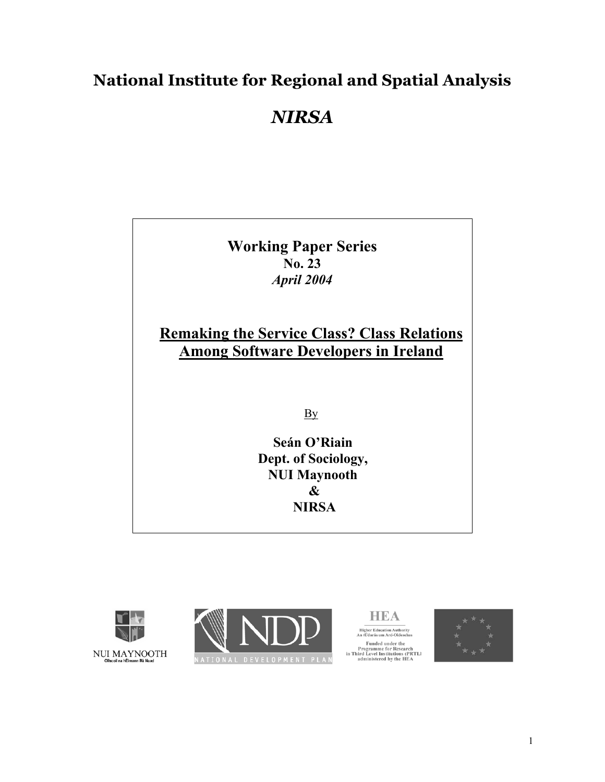## **National Institute for Regional and Spatial Analysis**

# *NIRSA*

**Working Paper Series No. 23** *April 2004* 

### **Remaking the Service Class? Class Relations Among Software Developers in Ireland**

By

**Seán O'Riain Dept. of Sociology, NUI Maynooth & NIRSA**







Higher Education Authority<br>An tÚdarás um Ard-Oideachas Funded under the<br>Programme for Research<br>in Third Level Institutions (PRTLI<br>administered by the HEA

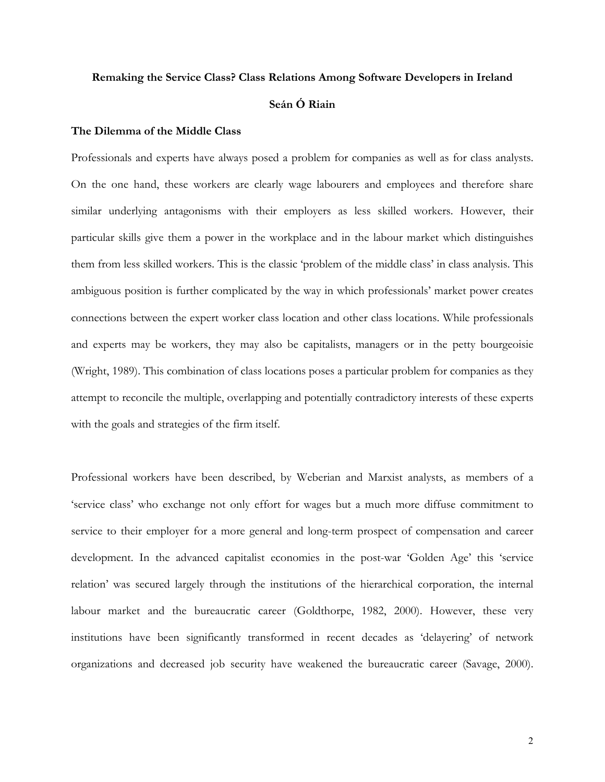### **Remaking the Service Class? Class Relations Among Software Developers in Ireland Seán Ó Riain**

#### **The Dilemma of the Middle Class**

Professionals and experts have always posed a problem for companies as well as for class analysts. On the one hand, these workers are clearly wage labourers and employees and therefore share similar underlying antagonisms with their employers as less skilled workers. However, their particular skills give them a power in the workplace and in the labour market which distinguishes them from less skilled workers. This is the classic 'problem of the middle class' in class analysis. This ambiguous position is further complicated by the way in which professionals' market power creates connections between the expert worker class location and other class locations. While professionals and experts may be workers, they may also be capitalists, managers or in the petty bourgeoisie (Wright, 1989). This combination of class locations poses a particular problem for companies as they attempt to reconcile the multiple, overlapping and potentially contradictory interests of these experts with the goals and strategies of the firm itself.

Professional workers have been described, by Weberian and Marxist analysts, as members of a 'service class' who exchange not only effort for wages but a much more diffuse commitment to service to their employer for a more general and long-term prospect of compensation and career development. In the advanced capitalist economies in the post-war 'Golden Age' this 'service relation' was secured largely through the institutions of the hierarchical corporation, the internal labour market and the bureaucratic career (Goldthorpe, 1982, 2000). However, these very institutions have been significantly transformed in recent decades as 'delayering' of network organizations and decreased job security have weakened the bureaucratic career (Savage, 2000).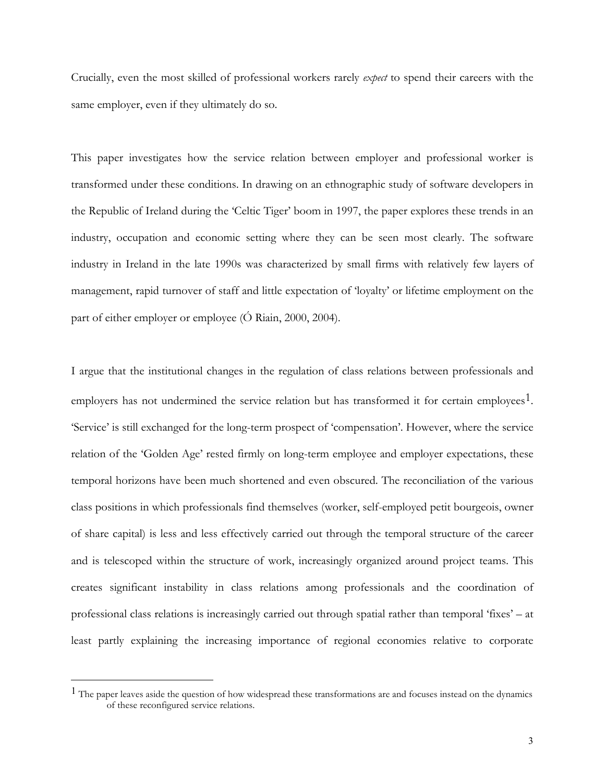Crucially, even the most skilled of professional workers rarely *expect* to spend their careers with the same employer, even if they ultimately do so.

This paper investigates how the service relation between employer and professional worker is transformed under these conditions. In drawing on an ethnographic study of software developers in the Republic of Ireland during the 'Celtic Tiger' boom in 1997, the paper explores these trends in an industry, occupation and economic setting where they can be seen most clearly. The software industry in Ireland in the late 1990s was characterized by small firms with relatively few layers of management, rapid turnover of staff and little expectation of 'loyalty' or lifetime employment on the part of either employer or employee (Ó Riain, 2000, 2004).

I argue that the institutional changes in the regulation of class relations between professionals and employers has not undermined the service relation but has transformed it for certain employees<sup>1</sup>. 'Service' is still exchanged for the long-term prospect of 'compensation'. However, where the service relation of the 'Golden Age' rested firmly on long-term employee and employer expectations, these temporal horizons have been much shortened and even obscured. The reconciliation of the various class positions in which professionals find themselves (worker, self-employed petit bourgeois, owner of share capital) is less and less effectively carried out through the temporal structure of the career and is telescoped within the structure of work, increasingly organized around project teams. This creates significant instability in class relations among professionals and the coordination of professional class relations is increasingly carried out through spatial rather than temporal 'fixes' – at least partly explaining the increasing importance of regional economies relative to corporate

 $\overline{a}$ 

<span id="page-2-0"></span><sup>&</sup>lt;sup>1</sup> The paper leaves aside the question of how widespread these transformations are and focuses instead on the dynamics of these reconfigured service relations.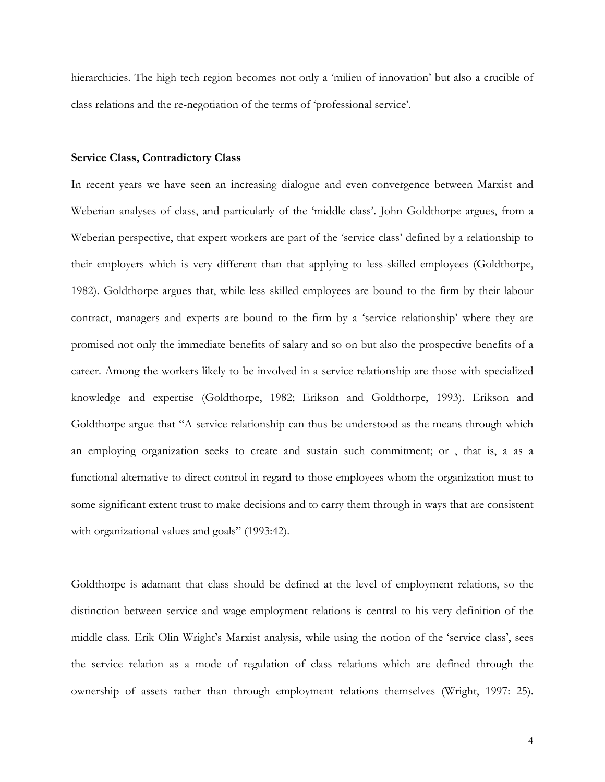hierarchicies. The high tech region becomes not only a 'milieu of innovation' but also a crucible of class relations and the re-negotiation of the terms of 'professional service'.

#### **Service Class, Contradictory Class**

In recent years we have seen an increasing dialogue and even convergence between Marxist and Weberian analyses of class, and particularly of the 'middle class'. John Goldthorpe argues, from a Weberian perspective, that expert workers are part of the 'service class' defined by a relationship to their employers which is very different than that applying to less-skilled employees (Goldthorpe, 1982). Goldthorpe argues that, while less skilled employees are bound to the firm by their labour contract, managers and experts are bound to the firm by a 'service relationship' where they are promised not only the immediate benefits of salary and so on but also the prospective benefits of a career. Among the workers likely to be involved in a service relationship are those with specialized knowledge and expertise (Goldthorpe, 1982; Erikson and Goldthorpe, 1993). Erikson and Goldthorpe argue that "A service relationship can thus be understood as the means through which an employing organization seeks to create and sustain such commitment; or , that is, a as a functional alternative to direct control in regard to those employees whom the organization must to some significant extent trust to make decisions and to carry them through in ways that are consistent with organizational values and goals" (1993:42).

Goldthorpe is adamant that class should be defined at the level of employment relations, so the distinction between service and wage employment relations is central to his very definition of the middle class. Erik Olin Wright's Marxist analysis, while using the notion of the 'service class', sees the service relation as a mode of regulation of class relations which are defined through the ownership of assets rather than through employment relations themselves (Wright, 1997: 25).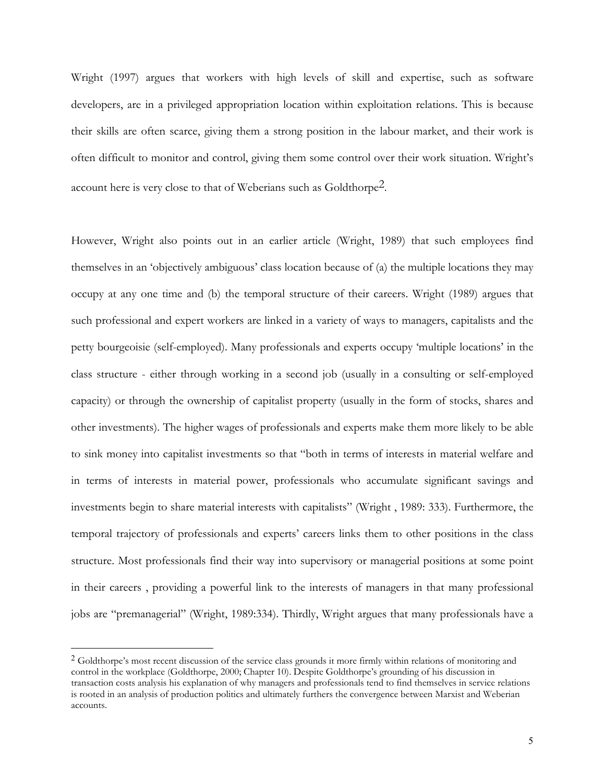Wright (1997) argues that workers with high levels of skill and expertise, such as software developers, are in a privileged appropriation location within exploitation relations. This is because their skills are often scarce, giving them a strong position in the labour market, and their work is often difficult to monitor and control, giving them some control over their work situation. Wright's account here is very close to that of Weberians such as Goldthorp[e2.](#page-4-0)

However, Wright also points out in an earlier article (Wright, 1989) that such employees find themselves in an 'objectively ambiguous' class location because of (a) the multiple locations they may occupy at any one time and (b) the temporal structure of their careers. Wright (1989) argues that such professional and expert workers are linked in a variety of ways to managers, capitalists and the petty bourgeoisie (self-employed). Many professionals and experts occupy 'multiple locations' in the class structure - either through working in a second job (usually in a consulting or self-employed capacity) or through the ownership of capitalist property (usually in the form of stocks, shares and other investments). The higher wages of professionals and experts make them more likely to be able to sink money into capitalist investments so that "both in terms of interests in material welfare and in terms of interests in material power, professionals who accumulate significant savings and investments begin to share material interests with capitalists" (Wright , 1989: 333). Furthermore, the temporal trajectory of professionals and experts' careers links them to other positions in the class structure. Most professionals find their way into supervisory or managerial positions at some point in their careers , providing a powerful link to the interests of managers in that many professional jobs are "premanagerial" (Wright, 1989:334). Thirdly, Wright argues that many professionals have a

<span id="page-4-0"></span><sup>&</sup>lt;sup>2</sup> Goldthorpe's most recent discussion of the service class grounds it more firmly within relations of monitoring and control in the workplace (Goldthorpe, 2000; Chapter 10). Despite Goldthorpe's grounding of his discussion in transaction costs analysis his explanation of why managers and professionals tend to find themselves in service relations is rooted in an analysis of production politics and ultimately furthers the convergence between Marxist and Weberian accounts.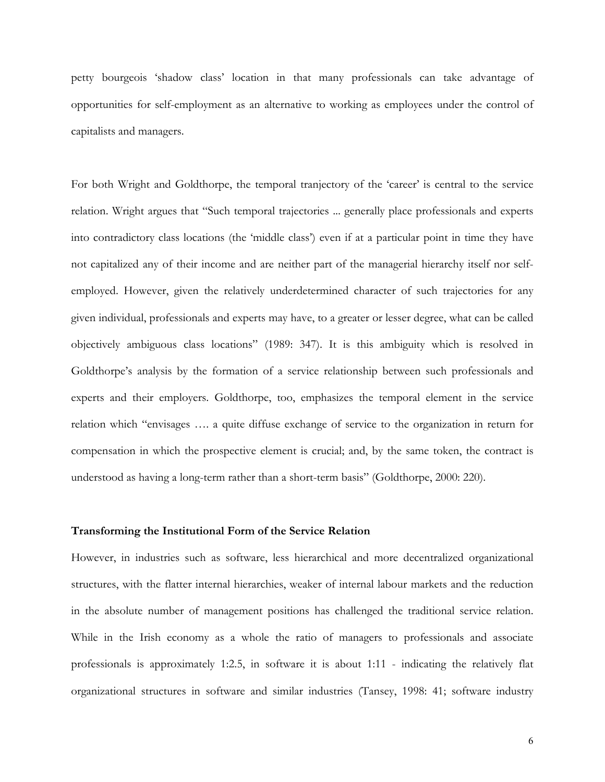petty bourgeois 'shadow class' location in that many professionals can take advantage of opportunities for self-employment as an alternative to working as employees under the control of capitalists and managers.

For both Wright and Goldthorpe, the temporal tranjectory of the 'career' is central to the service relation. Wright argues that "Such temporal trajectories ... generally place professionals and experts into contradictory class locations (the 'middle class') even if at a particular point in time they have not capitalized any of their income and are neither part of the managerial hierarchy itself nor selfemployed. However, given the relatively underdetermined character of such trajectories for any given individual, professionals and experts may have, to a greater or lesser degree, what can be called objectively ambiguous class locations" (1989: 347). It is this ambiguity which is resolved in Goldthorpe's analysis by the formation of a service relationship between such professionals and experts and their employers. Goldthorpe, too, emphasizes the temporal element in the service relation which "envisages …. a quite diffuse exchange of service to the organization in return for compensation in which the prospective element is crucial; and, by the same token, the contract is understood as having a long-term rather than a short-term basis" (Goldthorpe, 2000: 220).

#### **Transforming the Institutional Form of the Service Relation**

However, in industries such as software, less hierarchical and more decentralized organizational structures, with the flatter internal hierarchies, weaker of internal labour markets and the reduction in the absolute number of management positions has challenged the traditional service relation. While in the Irish economy as a whole the ratio of managers to professionals and associate professionals is approximately 1:2.5, in software it is about 1:11 - indicating the relatively flat organizational structures in software and similar industries (Tansey, 1998: 41; software industry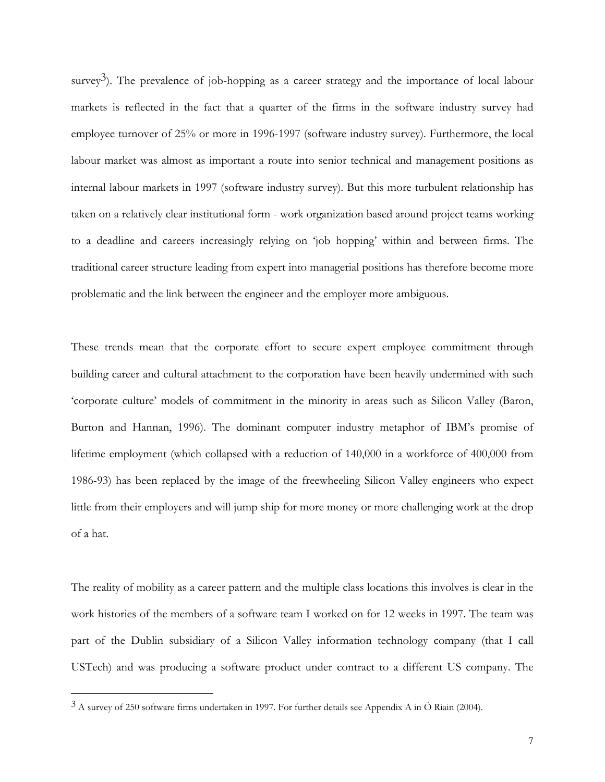survey<sup>3</sup>). The prevalence of job-hopping as a career strategy and the importance of local labour markets is reflected in the fact that a quarter of the firms in the software industry survey had employee turnover of 25% or more in 1996-1997 (software industry survey). Furthermore, the local labour market was almost as important a route into senior technical and management positions as internal labour markets in 1997 (software industry survey). But this more turbulent relationship has taken on a relatively clear institutional form - work organization based around project teams working to a deadline and careers increasingly relying on 'job hopping' within and between firms. The traditional career structure leading from expert into managerial positions has therefore become more problematic and the link between the engineer and the employer more ambiguous.

These trends mean that the corporate effort to secure expert employee commitment through building career and cultural attachment to the corporation have been heavily undermined with such 'corporate culture' models of commitment in the minority in areas such as Silicon Valley (Baron, Burton and Hannan, 1996). The dominant computer industry metaphor of IBM's promise of lifetime employment (which collapsed with a reduction of 140,000 in a workforce of 400,000 from 1986-93) has been replaced by the image of the freewheeling Silicon Valley engineers who expect little from their employers and will jump ship for more money or more challenging work at the drop of a hat.

The reality of mobility as a career pattern and the multiple class locations this involves is clear in the work histories of the members of a software team I worked on for 12 weeks in 1997. The team was part of the Dublin subsidiary of a Silicon Valley information technology company (that I call USTech) and was producing a software product under contract to a different US company. The

 $\overline{a}$ 

<span id="page-6-0"></span><sup>3</sup> A survey of 250 software firms undertaken in 1997. For further details see Appendix A in Ó Riain (2004).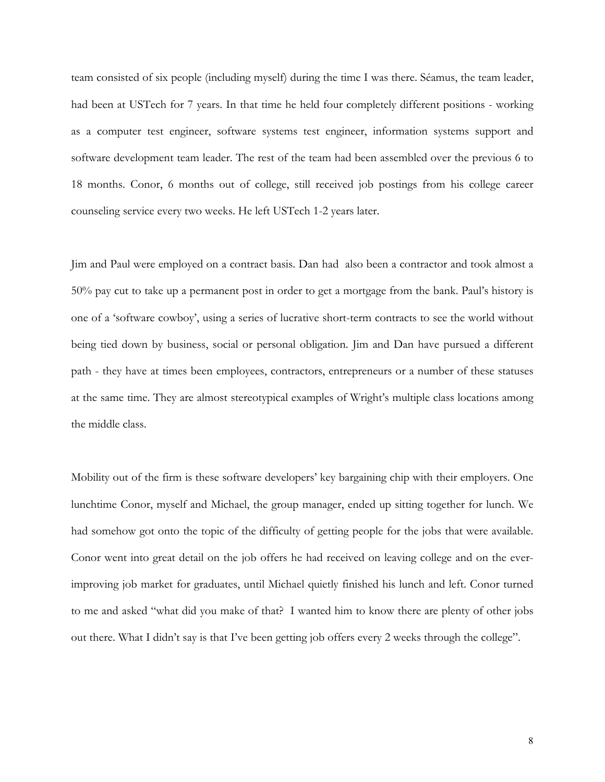team consisted of six people (including myself) during the time I was there. Séamus, the team leader, had been at USTech for 7 years. In that time he held four completely different positions - working as a computer test engineer, software systems test engineer, information systems support and software development team leader. The rest of the team had been assembled over the previous 6 to 18 months. Conor, 6 months out of college, still received job postings from his college career counseling service every two weeks. He left USTech 1-2 years later.

Jim and Paul were employed on a contract basis. Dan had also been a contractor and took almost a 50% pay cut to take up a permanent post in order to get a mortgage from the bank. Paul's history is one of a 'software cowboy', using a series of lucrative short-term contracts to see the world without being tied down by business, social or personal obligation. Jim and Dan have pursued a different path - they have at times been employees, contractors, entrepreneurs or a number of these statuses at the same time. They are almost stereotypical examples of Wright's multiple class locations among the middle class.

Mobility out of the firm is these software developers' key bargaining chip with their employers. One lunchtime Conor, myself and Michael, the group manager, ended up sitting together for lunch. We had somehow got onto the topic of the difficulty of getting people for the jobs that were available. Conor went into great detail on the job offers he had received on leaving college and on the everimproving job market for graduates, until Michael quietly finished his lunch and left. Conor turned to me and asked "what did you make of that? I wanted him to know there are plenty of other jobs out there. What I didn't say is that I've been getting job offers every 2 weeks through the college".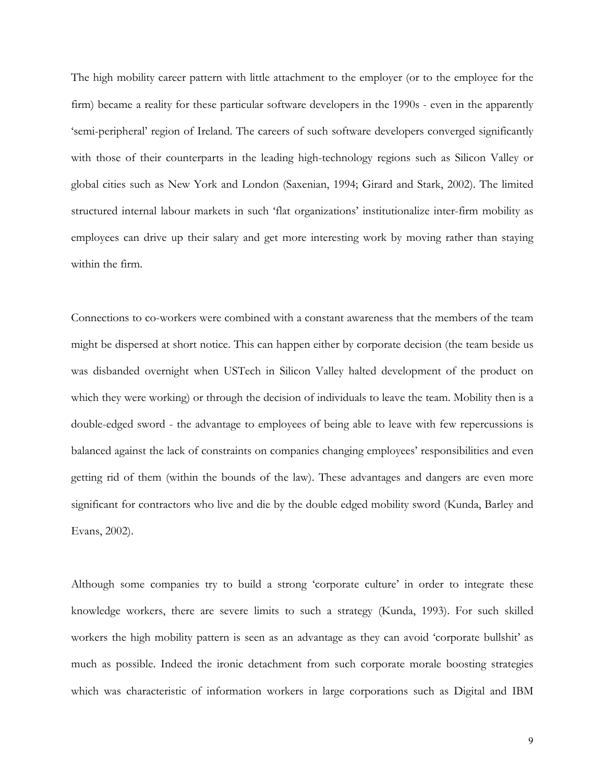The high mobility career pattern with little attachment to the employer (or to the employee for the firm) became a reality for these particular software developers in the 1990s - even in the apparently 'semi-peripheral' region of Ireland. The careers of such software developers converged significantly with those of their counterparts in the leading high-technology regions such as Silicon Valley or global cities such as New York and London (Saxenian, 1994; Girard and Stark, 2002). The limited structured internal labour markets in such 'flat organizations' institutionalize inter-firm mobility as employees can drive up their salary and get more interesting work by moving rather than staying within the firm.

Connections to co-workers were combined with a constant awareness that the members of the team might be dispersed at short notice. This can happen either by corporate decision (the team beside us was disbanded overnight when USTech in Silicon Valley halted development of the product on which they were working) or through the decision of individuals to leave the team. Mobility then is a double-edged sword - the advantage to employees of being able to leave with few repercussions is balanced against the lack of constraints on companies changing employees' responsibilities and even getting rid of them (within the bounds of the law). These advantages and dangers are even more significant for contractors who live and die by the double edged mobility sword (Kunda, Barley and Evans, 2002).

Although some companies try to build a strong 'corporate culture' in order to integrate these knowledge workers, there are severe limits to such a strategy (Kunda, 1993). For such skilled workers the high mobility pattern is seen as an advantage as they can avoid 'corporate bullshit' as much as possible. Indeed the ironic detachment from such corporate morale boosting strategies which was characteristic of information workers in large corporations such as Digital and IBM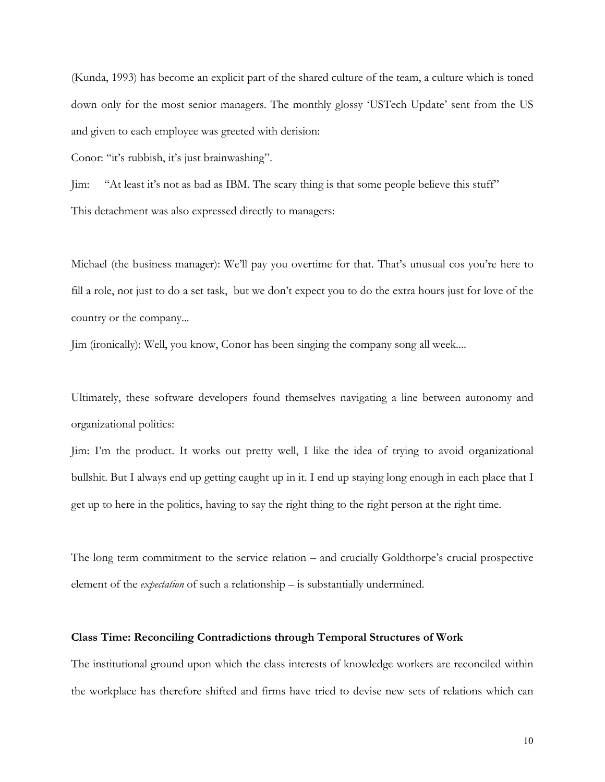(Kunda, 1993) has become an explicit part of the shared culture of the team, a culture which is toned down only for the most senior managers. The monthly glossy 'USTech Update' sent from the US and given to each employee was greeted with derision:

Conor: "it's rubbish, it's just brainwashing".

Jim: "At least it's not as bad as IBM. The scary thing is that some people believe this stuff" This detachment was also expressed directly to managers:

Michael (the business manager): We'll pay you overtime for that. That's unusual cos you're here to fill a role, not just to do a set task, but we don't expect you to do the extra hours just for love of the country or the company...

Jim (ironically): Well, you know, Conor has been singing the company song all week....

Ultimately, these software developers found themselves navigating a line between autonomy and organizational politics:

Jim: I'm the product. It works out pretty well, I like the idea of trying to avoid organizational bullshit. But I always end up getting caught up in it. I end up staying long enough in each place that I get up to here in the politics, having to say the right thing to the right person at the right time.

The long term commitment to the service relation – and crucially Goldthorpe's crucial prospective element of the *expectation* of such a relationship – is substantially undermined.

#### **Class Time: Reconciling Contradictions through Temporal Structures of Work**

The institutional ground upon which the class interests of knowledge workers are reconciled within the workplace has therefore shifted and firms have tried to devise new sets of relations which can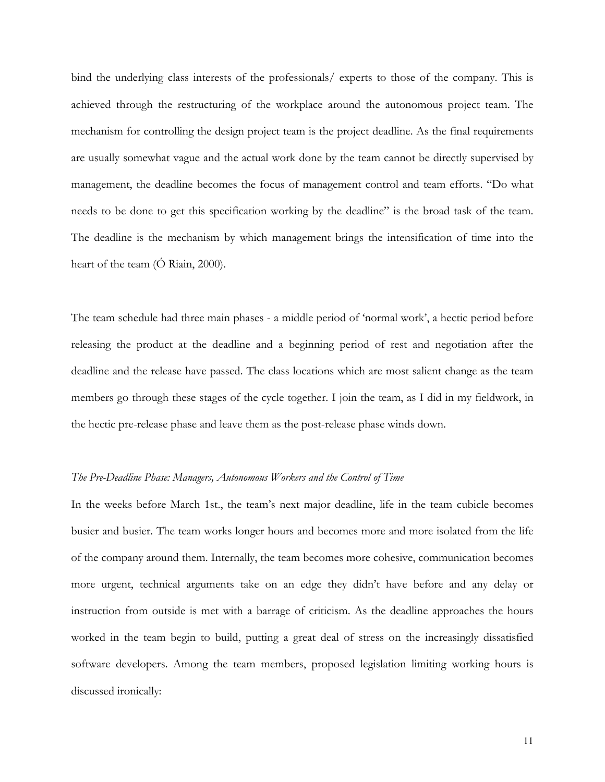bind the underlying class interests of the professionals/ experts to those of the company. This is achieved through the restructuring of the workplace around the autonomous project team. The mechanism for controlling the design project team is the project deadline. As the final requirements are usually somewhat vague and the actual work done by the team cannot be directly supervised by management, the deadline becomes the focus of management control and team efforts. "Do what needs to be done to get this specification working by the deadline" is the broad task of the team. The deadline is the mechanism by which management brings the intensification of time into the heart of the team (Ó Riain, 2000).

The team schedule had three main phases - a middle period of 'normal work', a hectic period before releasing the product at the deadline and a beginning period of rest and negotiation after the deadline and the release have passed. The class locations which are most salient change as the team members go through these stages of the cycle together. I join the team, as I did in my fieldwork, in the hectic pre-release phase and leave them as the post-release phase winds down.

#### *The Pre-Deadline Phase: Managers, Autonomous Workers and the Control of Time*

In the weeks before March 1st., the team's next major deadline, life in the team cubicle becomes busier and busier. The team works longer hours and becomes more and more isolated from the life of the company around them. Internally, the team becomes more cohesive, communication becomes more urgent, technical arguments take on an edge they didn't have before and any delay or instruction from outside is met with a barrage of criticism. As the deadline approaches the hours worked in the team begin to build, putting a great deal of stress on the increasingly dissatisfied software developers. Among the team members, proposed legislation limiting working hours is discussed ironically: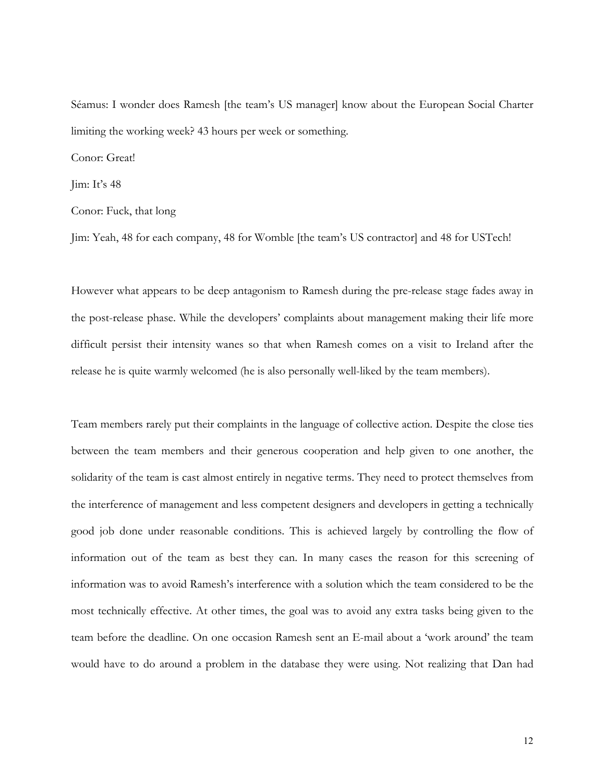Séamus: I wonder does Ramesh [the team's US manager] know about the European Social Charter limiting the working week? 43 hours per week or something.

Conor: Great!

Jim: It's 48

Conor: Fuck, that long

Jim: Yeah, 48 for each company, 48 for Womble [the team's US contractor] and 48 for USTech!

However what appears to be deep antagonism to Ramesh during the pre-release stage fades away in the post-release phase. While the developers' complaints about management making their life more difficult persist their intensity wanes so that when Ramesh comes on a visit to Ireland after the release he is quite warmly welcomed (he is also personally well-liked by the team members).

Team members rarely put their complaints in the language of collective action. Despite the close ties between the team members and their generous cooperation and help given to one another, the solidarity of the team is cast almost entirely in negative terms. They need to protect themselves from the interference of management and less competent designers and developers in getting a technically good job done under reasonable conditions. This is achieved largely by controlling the flow of information out of the team as best they can. In many cases the reason for this screening of information was to avoid Ramesh's interference with a solution which the team considered to be the most technically effective. At other times, the goal was to avoid any extra tasks being given to the team before the deadline. On one occasion Ramesh sent an E-mail about a 'work around' the team would have to do around a problem in the database they were using. Not realizing that Dan had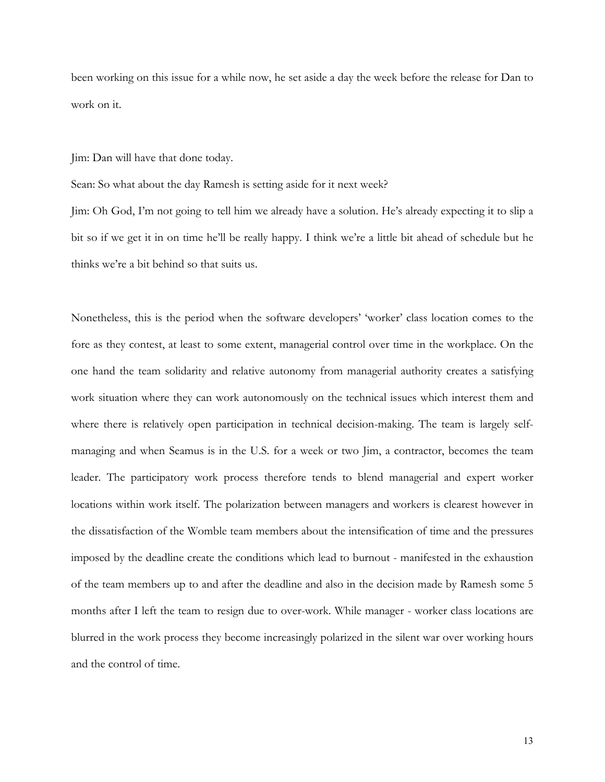been working on this issue for a while now, he set aside a day the week before the release for Dan to work on it.

Jim: Dan will have that done today.

Sean: So what about the day Ramesh is setting aside for it next week?

Jim: Oh God, I'm not going to tell him we already have a solution. He's already expecting it to slip a bit so if we get it in on time he'll be really happy. I think we're a little bit ahead of schedule but he thinks we're a bit behind so that suits us.

Nonetheless, this is the period when the software developers' 'worker' class location comes to the fore as they contest, at least to some extent, managerial control over time in the workplace. On the one hand the team solidarity and relative autonomy from managerial authority creates a satisfying work situation where they can work autonomously on the technical issues which interest them and where there is relatively open participation in technical decision-making. The team is largely selfmanaging and when Seamus is in the U.S. for a week or two Jim, a contractor, becomes the team leader. The participatory work process therefore tends to blend managerial and expert worker locations within work itself. The polarization between managers and workers is clearest however in the dissatisfaction of the Womble team members about the intensification of time and the pressures imposed by the deadline create the conditions which lead to burnout - manifested in the exhaustion of the team members up to and after the deadline and also in the decision made by Ramesh some 5 months after I left the team to resign due to over-work. While manager - worker class locations are blurred in the work process they become increasingly polarized in the silent war over working hours and the control of time.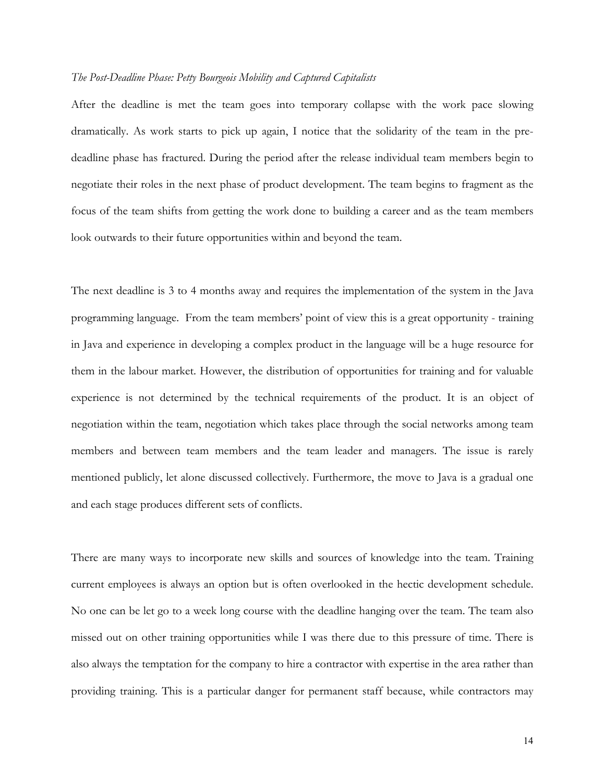#### *The Post-Deadline Phase: Petty Bourgeois Mobility and Captured Capitalists*

After the deadline is met the team goes into temporary collapse with the work pace slowing dramatically. As work starts to pick up again, I notice that the solidarity of the team in the predeadline phase has fractured. During the period after the release individual team members begin to negotiate their roles in the next phase of product development. The team begins to fragment as the focus of the team shifts from getting the work done to building a career and as the team members look outwards to their future opportunities within and beyond the team.

The next deadline is 3 to 4 months away and requires the implementation of the system in the Java programming language. From the team members' point of view this is a great opportunity - training in Java and experience in developing a complex product in the language will be a huge resource for them in the labour market. However, the distribution of opportunities for training and for valuable experience is not determined by the technical requirements of the product. It is an object of negotiation within the team, negotiation which takes place through the social networks among team members and between team members and the team leader and managers. The issue is rarely mentioned publicly, let alone discussed collectively. Furthermore, the move to Java is a gradual one and each stage produces different sets of conflicts.

There are many ways to incorporate new skills and sources of knowledge into the team. Training current employees is always an option but is often overlooked in the hectic development schedule. No one can be let go to a week long course with the deadline hanging over the team. The team also missed out on other training opportunities while I was there due to this pressure of time. There is also always the temptation for the company to hire a contractor with expertise in the area rather than providing training. This is a particular danger for permanent staff because, while contractors may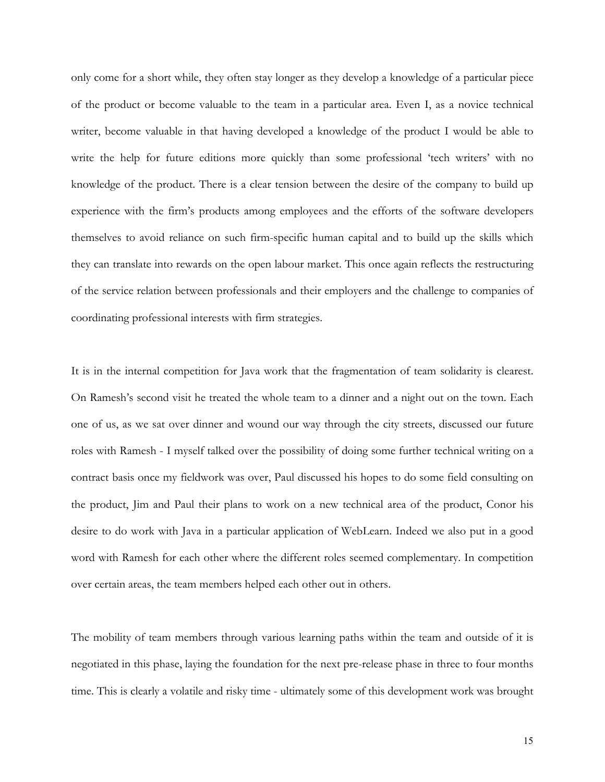only come for a short while, they often stay longer as they develop a knowledge of a particular piece of the product or become valuable to the team in a particular area. Even I, as a novice technical writer, become valuable in that having developed a knowledge of the product I would be able to write the help for future editions more quickly than some professional 'tech writers' with no knowledge of the product. There is a clear tension between the desire of the company to build up experience with the firm's products among employees and the efforts of the software developers themselves to avoid reliance on such firm-specific human capital and to build up the skills which they can translate into rewards on the open labour market. This once again reflects the restructuring of the service relation between professionals and their employers and the challenge to companies of coordinating professional interests with firm strategies.

It is in the internal competition for Java work that the fragmentation of team solidarity is clearest. On Ramesh's second visit he treated the whole team to a dinner and a night out on the town. Each one of us, as we sat over dinner and wound our way through the city streets, discussed our future roles with Ramesh - I myself talked over the possibility of doing some further technical writing on a contract basis once my fieldwork was over, Paul discussed his hopes to do some field consulting on the product, Jim and Paul their plans to work on a new technical area of the product, Conor his desire to do work with Java in a particular application of WebLearn. Indeed we also put in a good word with Ramesh for each other where the different roles seemed complementary. In competition over certain areas, the team members helped each other out in others.

The mobility of team members through various learning paths within the team and outside of it is negotiated in this phase, laying the foundation for the next pre-release phase in three to four months time. This is clearly a volatile and risky time - ultimately some of this development work was brought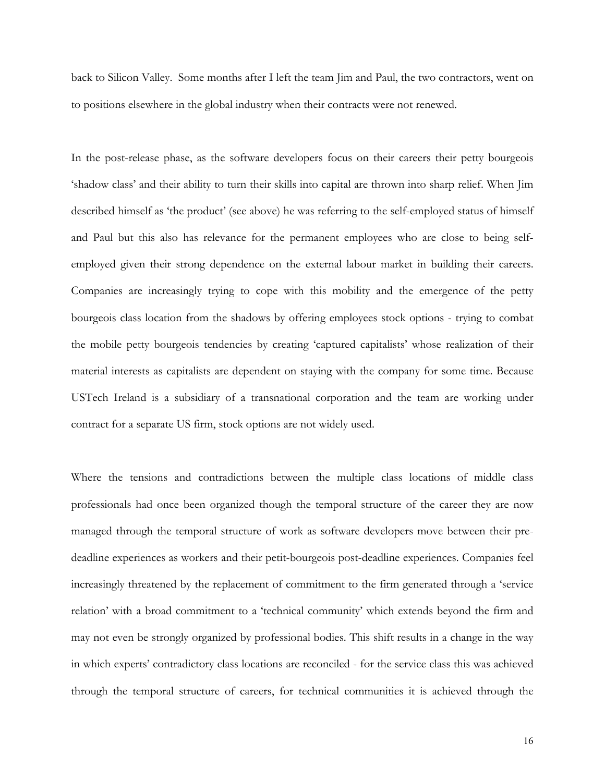back to Silicon Valley. Some months after I left the team Jim and Paul, the two contractors, went on to positions elsewhere in the global industry when their contracts were not renewed.

In the post-release phase, as the software developers focus on their careers their petty bourgeois 'shadow class' and their ability to turn their skills into capital are thrown into sharp relief. When Jim described himself as 'the product' (see above) he was referring to the self-employed status of himself and Paul but this also has relevance for the permanent employees who are close to being selfemployed given their strong dependence on the external labour market in building their careers. Companies are increasingly trying to cope with this mobility and the emergence of the petty bourgeois class location from the shadows by offering employees stock options - trying to combat the mobile petty bourgeois tendencies by creating 'captured capitalists' whose realization of their material interests as capitalists are dependent on staying with the company for some time. Because USTech Ireland is a subsidiary of a transnational corporation and the team are working under contract for a separate US firm, stock options are not widely used.

Where the tensions and contradictions between the multiple class locations of middle class professionals had once been organized though the temporal structure of the career they are now managed through the temporal structure of work as software developers move between their predeadline experiences as workers and their petit-bourgeois post-deadline experiences. Companies feel increasingly threatened by the replacement of commitment to the firm generated through a 'service relation' with a broad commitment to a 'technical community' which extends beyond the firm and may not even be strongly organized by professional bodies. This shift results in a change in the way in which experts' contradictory class locations are reconciled - for the service class this was achieved through the temporal structure of careers, for technical communities it is achieved through the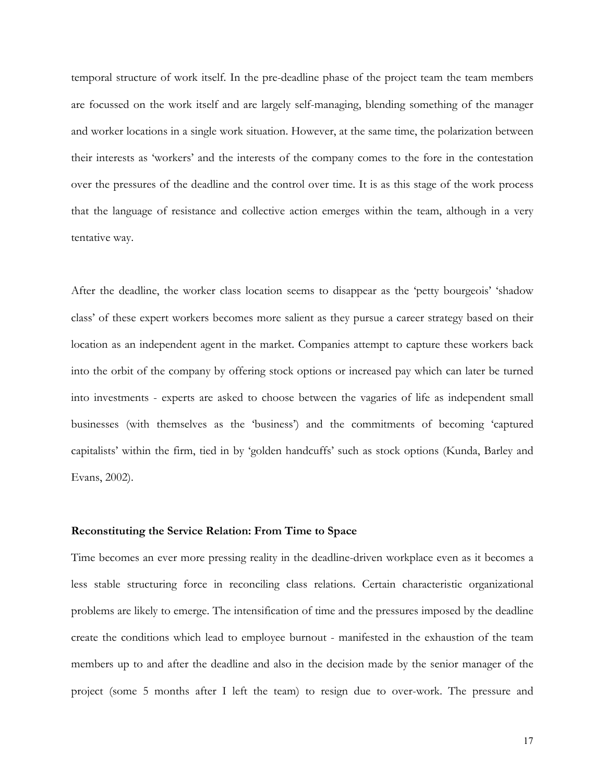temporal structure of work itself. In the pre-deadline phase of the project team the team members are focussed on the work itself and are largely self-managing, blending something of the manager and worker locations in a single work situation. However, at the same time, the polarization between their interests as 'workers' and the interests of the company comes to the fore in the contestation over the pressures of the deadline and the control over time. It is as this stage of the work process that the language of resistance and collective action emerges within the team, although in a very tentative way.

After the deadline, the worker class location seems to disappear as the 'petty bourgeois' 'shadow class' of these expert workers becomes more salient as they pursue a career strategy based on their location as an independent agent in the market. Companies attempt to capture these workers back into the orbit of the company by offering stock options or increased pay which can later be turned into investments - experts are asked to choose between the vagaries of life as independent small businesses (with themselves as the 'business') and the commitments of becoming 'captured capitalists' within the firm, tied in by 'golden handcuffs' such as stock options (Kunda, Barley and Evans, 2002).

#### **Reconstituting the Service Relation: From Time to Space**

Time becomes an ever more pressing reality in the deadline-driven workplace even as it becomes a less stable structuring force in reconciling class relations. Certain characteristic organizational problems are likely to emerge. The intensification of time and the pressures imposed by the deadline create the conditions which lead to employee burnout - manifested in the exhaustion of the team members up to and after the deadline and also in the decision made by the senior manager of the project (some 5 months after I left the team) to resign due to over-work. The pressure and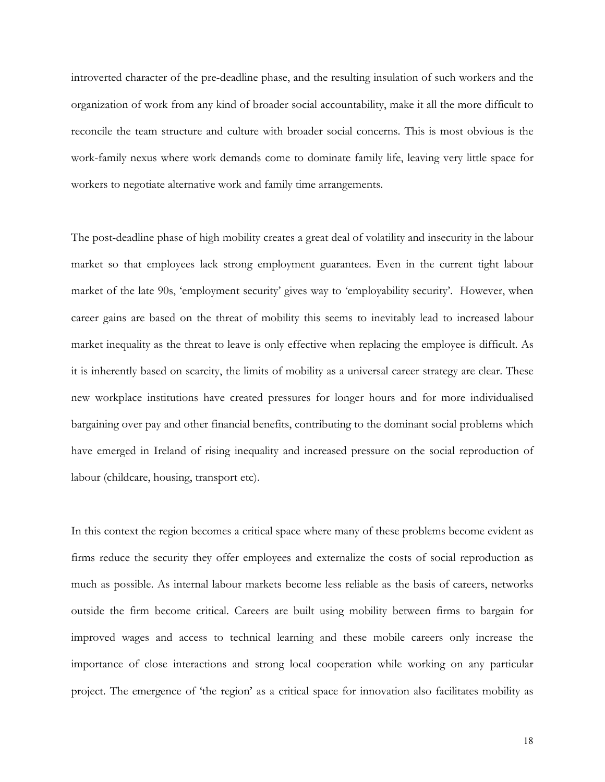introverted character of the pre-deadline phase, and the resulting insulation of such workers and the organization of work from any kind of broader social accountability, make it all the more difficult to reconcile the team structure and culture with broader social concerns. This is most obvious is the work-family nexus where work demands come to dominate family life, leaving very little space for workers to negotiate alternative work and family time arrangements.

The post-deadline phase of high mobility creates a great deal of volatility and insecurity in the labour market so that employees lack strong employment guarantees. Even in the current tight labour market of the late 90s, 'employment security' gives way to 'employability security'. However, when career gains are based on the threat of mobility this seems to inevitably lead to increased labour market inequality as the threat to leave is only effective when replacing the employee is difficult. As it is inherently based on scarcity, the limits of mobility as a universal career strategy are clear. These new workplace institutions have created pressures for longer hours and for more individualised bargaining over pay and other financial benefits, contributing to the dominant social problems which have emerged in Ireland of rising inequality and increased pressure on the social reproduction of labour (childcare, housing, transport etc).

In this context the region becomes a critical space where many of these problems become evident as firms reduce the security they offer employees and externalize the costs of social reproduction as much as possible. As internal labour markets become less reliable as the basis of careers, networks outside the firm become critical. Careers are built using mobility between firms to bargain for improved wages and access to technical learning and these mobile careers only increase the importance of close interactions and strong local cooperation while working on any particular project. The emergence of 'the region' as a critical space for innovation also facilitates mobility as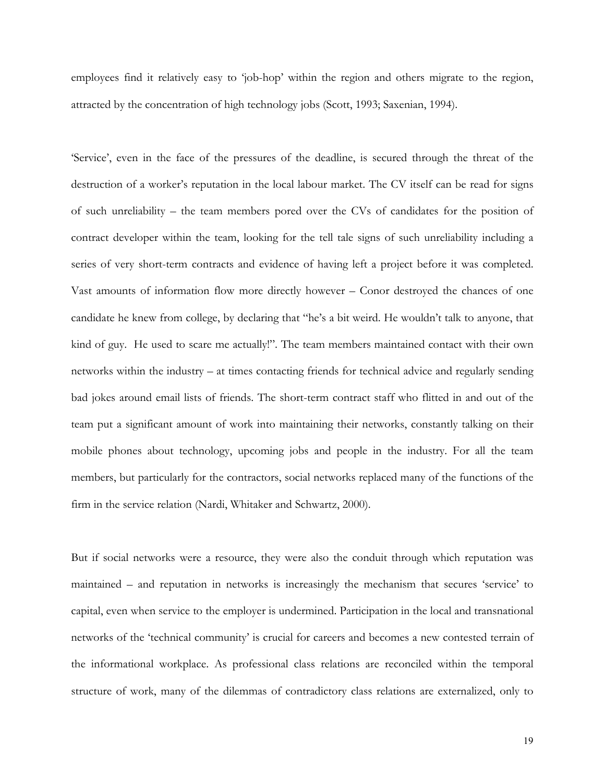employees find it relatively easy to 'job-hop' within the region and others migrate to the region, attracted by the concentration of high technology jobs (Scott, 1993; Saxenian, 1994).

'Service', even in the face of the pressures of the deadline, is secured through the threat of the destruction of a worker's reputation in the local labour market. The CV itself can be read for signs of such unreliability – the team members pored over the CVs of candidates for the position of contract developer within the team, looking for the tell tale signs of such unreliability including a series of very short-term contracts and evidence of having left a project before it was completed. Vast amounts of information flow more directly however – Conor destroyed the chances of one candidate he knew from college, by declaring that "he's a bit weird. He wouldn't talk to anyone, that kind of guy. He used to scare me actually!". The team members maintained contact with their own networks within the industry – at times contacting friends for technical advice and regularly sending bad jokes around email lists of friends. The short-term contract staff who flitted in and out of the team put a significant amount of work into maintaining their networks, constantly talking on their mobile phones about technology, upcoming jobs and people in the industry. For all the team members, but particularly for the contractors, social networks replaced many of the functions of the firm in the service relation (Nardi, Whitaker and Schwartz, 2000).

But if social networks were a resource, they were also the conduit through which reputation was maintained – and reputation in networks is increasingly the mechanism that secures 'service' to capital, even when service to the employer is undermined. Participation in the local and transnational networks of the 'technical community' is crucial for careers and becomes a new contested terrain of the informational workplace. As professional class relations are reconciled within the temporal structure of work, many of the dilemmas of contradictory class relations are externalized, only to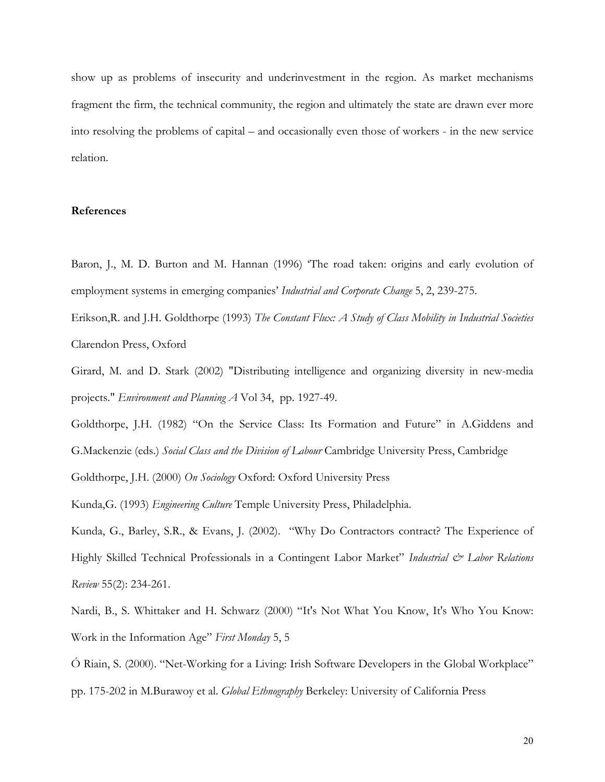show up as problems of insecurity and underinvestment in the region. As market mechanisms fragment the firm, the technical community, the region and ultimately the state are drawn ever more into resolving the problems of capital – and occasionally even those of workers - in the new service relation.

#### **References**

Baron, J., M. D. Burton and M. Hannan (1996) 'The road taken: origins and early evolution of employment systems in emerging companies' *Industrial and Corporate Change* 5, 2, 239-275.

Erikson,R. and J.H. Goldthorpe (1993) *The Constant Flux: A Study of Class Mobility in Industrial Societies* Clarendon Press, Oxford

Girard, M. and D. Stark (2002) "Distributing intelligence and organizing diversity in new-media projects." *Environment and Planning A* Vol 34, pp. 1927-49.

Goldthorpe, J.H. (1982) "On the Service Class: Its Formation and Future" in A.Giddens and G.Mackenzie (eds.) *Social Class and the Division of Labour* Cambridge University Press, Cambridge

Goldthorpe, J.H. (2000) *On Sociology* Oxford: Oxford University Press

Kunda,G. (1993) *Engineering Culture* Temple University Press, Philadelphia.

Kunda, G., Barley, S.R., & Evans, J. (2002). "Why Do Contractors contract? The Experience of Highly Skilled Technical Professionals in a Contingent Labor Market" *Industrial & Labor Relations Review* 55(2): 234-261.

Nardi, B., S. Whittaker and H. Schwarz (2000) "It's Not What You Know, It's Who You Know: Work in the Information Age" *First Monday* 5, 5

Ó Riain, S. (2000). "Net-Working for a Living: Irish Software Developers in the Global Workplace" pp. 175-202 in M.Burawoy et al. *Global Ethnography* Berkeley: University of California Press